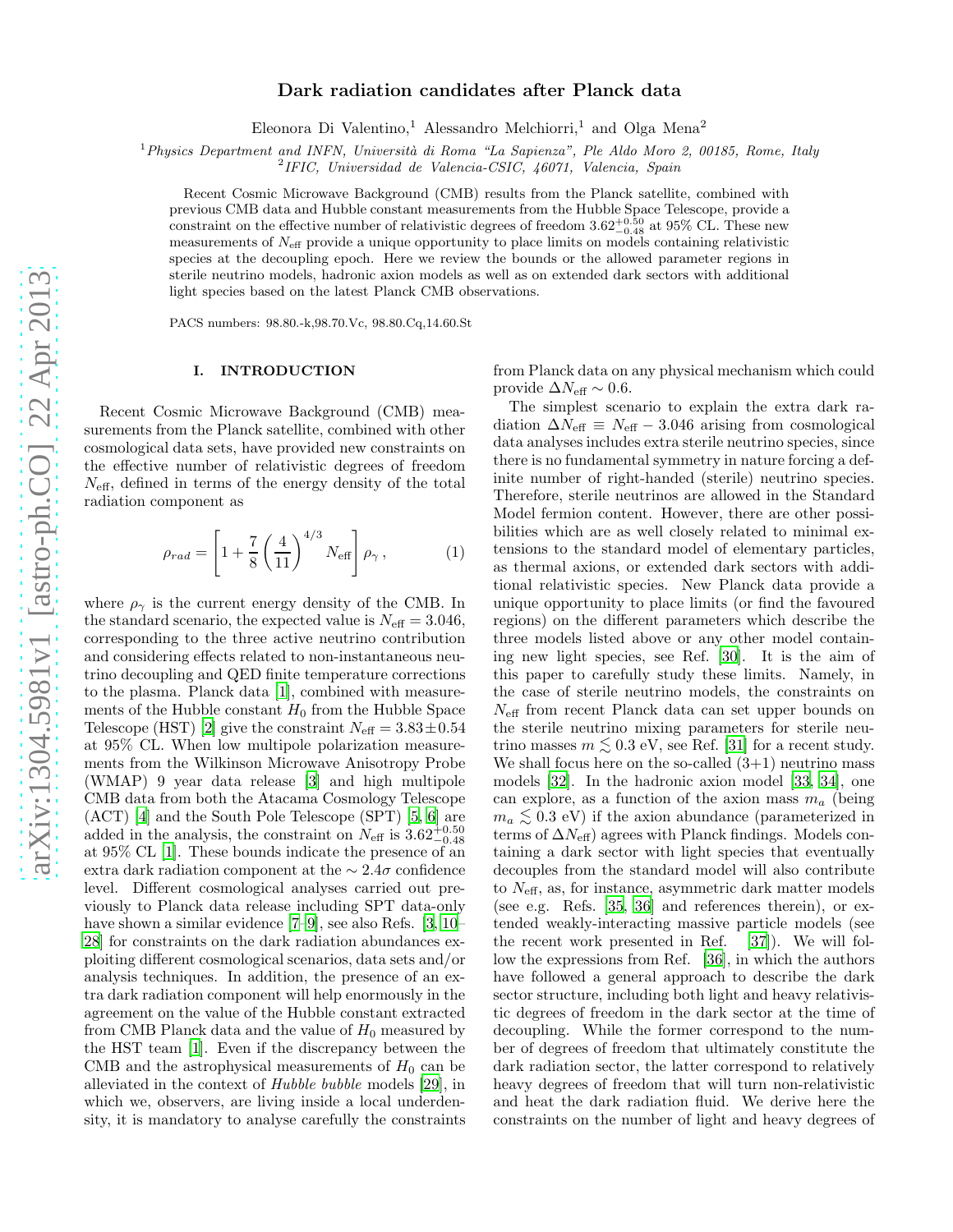# Dark radiation candidates after Planck data

Eleonora Di Valentino,<sup>1</sup> Alessandro Melchiorri,<sup>1</sup> and Olga Mena<sup>2</sup>

 $1$ Physics Department and INFN, Università di Roma "La Sapienza", Ple Aldo Moro 2, 00185, Rome, Italy

2 IFIC, Universidad de Valencia-CSIC, 46071, Valencia, Spain

Recent Cosmic Microwave Background (CMB) results from the Planck satellite, combined with previous CMB data and Hubble constant measurements from the Hubble Space Telescope, provide a constraint on the effective number of relativistic degrees of freedom  $3.62^{+0.50}_{-0.48}$  at 95% CL. These new measurements of  $N_{\text{eff}}$  provide a unique opportunity to place limits on models containing relativistic species at the decoupling epoch. Here we review the bounds or the allowed parameter regions in sterile neutrino models, hadronic axion models as well as on extended dark sectors with additional light species based on the latest Planck CMB observations.

PACS numbers: 98.80.-k,98.70.Vc, 98.80.Cq,14.60.St

### I. INTRODUCTION

Recent Cosmic Microwave Background (CMB) measurements from the Planck satellite, combined with other cosmological data sets, have provided new constraints on the effective number of relativistic degrees of freedom  $N_{\text{eff}}$ , defined in terms of the energy density of the total radiation component as

$$
\rho_{rad} = \left[1 + \frac{7}{8} \left(\frac{4}{11}\right)^{4/3} N_{\text{eff}}\right] \rho_{\gamma}, \qquad (1)
$$

where  $\rho_{\gamma}$  is the current energy density of the CMB. In the standard scenario, the expected value is  $N_{\text{eff}} = 3.046$ , corresponding to the three active neutrino contribution and considering effects related to non-instantaneous neutrino decoupling and QED finite temperature corrections to the plasma. Planck data [\[1](#page-4-0)], combined with measurements of the Hubble constant  $H_0$  from the Hubble Space Telescope (HST) [\[2\]](#page-4-1) give the constraint  $N_{\text{eff}} = 3.83 \pm 0.54$ at 95% CL. When low multipole polarization measurements from the Wilkinson Microwave Anisotropy Probe (WMAP) 9 year data release [\[3](#page-4-2)] and high multipole CMB data from both the Atacama Cosmology Telescope (ACT) [\[4](#page-4-3)] and the South Pole Telescope (SPT) [\[5](#page-4-4), [6\]](#page-4-5) are added in the analysis, the constraint on  $N_{\text{eff}}$  is  $3.62_{-0.48}^{+0.50}$ at 95% CL [\[1](#page-4-0)]. These bounds indicate the presence of an extra dark radiation component at the  $\sim 2.4\sigma$  confidence level. Different cosmological analyses carried out previously to Planck data release including SPT data-only have shown a similar evidence [\[7](#page-4-6)[–9\]](#page-4-7), see also Refs. [\[3,](#page-4-2) [10](#page-4-8)– [28\]](#page-5-0) for constraints on the dark radiation abundances exploiting different cosmological scenarios, data sets and/or analysis techniques. In addition, the presence of an extra dark radiation component will help enormously in the agreement on the value of the Hubble constant extracted from CMB Planck data and the value of  $H_0$  measured by the HST team [\[1\]](#page-4-0). Even if the discrepancy between the CMB and the astrophysical measurements of  $H_0$  can be alleviated in the context of Hubble bubble models [\[29](#page-5-1)], in which we, observers, are living inside a local underdensity, it is mandatory to analyse carefully the constraints from Planck data on any physical mechanism which could provide  $\Delta N_{\text{eff}} \sim 0.6$ .

The simplest scenario to explain the extra dark radiation  $\Delta N_{\text{eff}} \equiv N_{\text{eff}} - 3.046$  arising from cosmological data analyses includes extra sterile neutrino species, since there is no fundamental symmetry in nature forcing a definite number of right-handed (sterile) neutrino species. Therefore, sterile neutrinos are allowed in the Standard Model fermion content. However, there are other possibilities which are as well closely related to minimal extensions to the standard model of elementary particles, as thermal axions, or extended dark sectors with additional relativistic species. New Planck data provide a unique opportunity to place limits (or find the favoured regions) on the different parameters which describe the three models listed above or any other model containing new light species, see Ref. [\[30\]](#page-5-2). It is the aim of this paper to carefully study these limits. Namely, in the case of sterile neutrino models, the constraints on  $N_{\text{eff}}$  from recent Planck data can set upper bounds on the sterile neutrino mixing parameters for sterile neutrino masses  $m \lesssim 0.3$  eV, see Ref. [\[31](#page-5-3)] for a recent study. We shall focus here on the so-called  $(3+1)$  neutrino mass models [\[32](#page-5-4)]. In the hadronic axion model [\[33,](#page-5-5) [34](#page-5-6)], one can explore, as a function of the axion mass  $m_a$  (being  $m_a \lesssim 0.3$  eV) if the axion abundance (parameterized in<br>terms of  $\Delta N$  -) agrees with Planck findings. Models can terms of  $\Delta N_{\text{eff}}$ ) agrees with Planck findings. Models containing a dark sector with light species that eventually decouples from the standard model will also contribute to  $N_{\text{eff}}$ , as, for instance, asymmetric dark matter models (see e.g. Refs. [\[35,](#page-5-7) [36](#page-5-8)] and references therein), or extended weakly-interacting massive particle models (see the recent work presented in Ref. [\[37\]](#page-5-9)). We will follow the expressions from Ref. [\[36](#page-5-8)], in which the authors have followed a general approach to describe the dark sector structure, including both light and heavy relativistic degrees of freedom in the dark sector at the time of decoupling. While the former correspond to the number of degrees of freedom that ultimately constitute the dark radiation sector, the latter correspond to relatively heavy degrees of freedom that will turn non-relativistic and heat the dark radiation fluid. We derive here the constraints on the number of light and heavy degrees of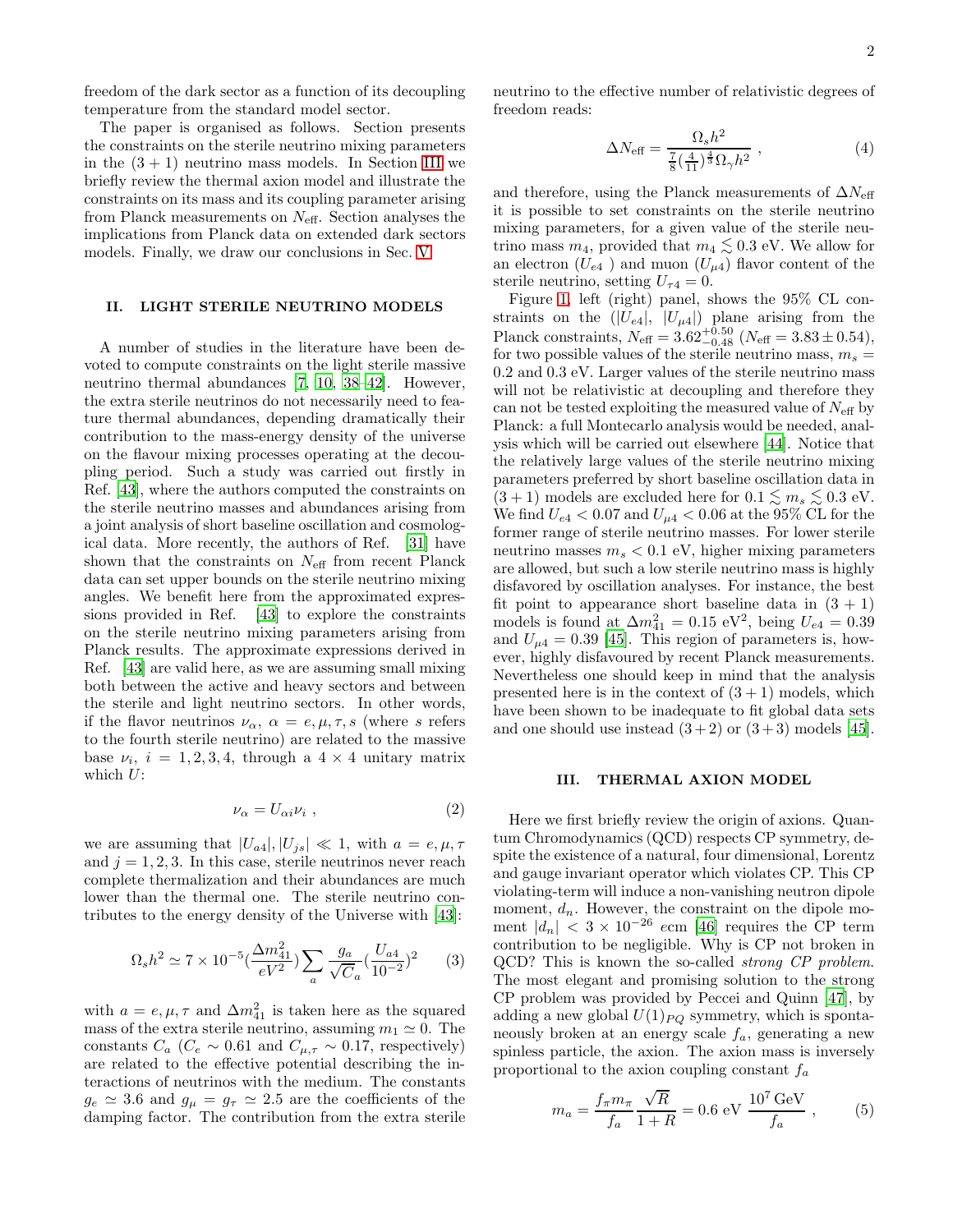freedom of the dark sector as a function of its decoupling temperature from the standard model sector.

The paper is organised as follows. Section presents the constraints on the sterile neutrino mixing parameters in the  $(3 + 1)$  neutrino mass models. In Section [III](#page-1-0) we briefly review the thermal axion model and illustrate the constraints on its mass and its coupling parameter arising from Planck measurements on  $N_{\text{eff}}$ . Section analyses the implications from Planck data on extended dark sectors models. Finally, we draw our conclusions in Sec. [V.](#page-3-0)

# II. LIGHT STERILE NEUTRINO MODELS

A number of studies in the literature have been devoted to compute constraints on the light sterile massive neutrino thermal abundances [\[7](#page-4-6), [10,](#page-4-8) [38](#page-5-10)[–42\]](#page-5-11). However, the extra sterile neutrinos do not necessarily need to feature thermal abundances, depending dramatically their contribution to the mass-energy density of the universe on the flavour mixing processes operating at the decoupling period. Such a study was carried out firstly in Ref. [\[43](#page-5-12)], where the authors computed the constraints on the sterile neutrino masses and abundances arising from a joint analysis of short baseline oscillation and cosmological data. More recently, the authors of Ref. [\[31\]](#page-5-3) have shown that the constraints on  $N_{\text{eff}}$  from recent Planck data can set upper bounds on the sterile neutrino mixing angles. We benefit here from the approximated expressions provided in Ref. [\[43\]](#page-5-12) to explore the constraints on the sterile neutrino mixing parameters arising from Planck results. The approximate expressions derived in Ref. [\[43](#page-5-12)] are valid here, as we are assuming small mixing both between the active and heavy sectors and between the sterile and light neutrino sectors. In other words, if the flavor neutrinos  $\nu_{\alpha}$ ,  $\alpha = e, \mu, \tau, s$  (where s refers to the fourth sterile neutrino) are related to the massive base  $\nu_i$ ,  $i = 1, 2, 3, 4$ , through a  $4 \times 4$  unitary matrix which  $U$ :

$$
\nu_{\alpha} = U_{\alpha i} \nu_{i} \tag{2}
$$

we are assuming that  $|U_{a4}|, |U_{js}| \ll 1$ , with  $a = e, \mu, \tau$ and  $j = 1, 2, 3$ . In this case, sterile neutrinos never reach complete thermalization and their abundances are much lower than the thermal one. The sterile neutrino contributes to the energy density of the Universe with [\[43](#page-5-12)]:

$$
\Omega_s h^2 \simeq 7 \times 10^{-5} \left(\frac{\Delta m_{41}^2}{eV^2}\right) \sum_a \frac{g_a}{\sqrt{C}_a} \left(\frac{U_{a4}}{10^{-2}}\right)^2 \tag{3}
$$

with  $a = e, \mu, \tau$  and  $\Delta m_{41}^2$  is taken here as the squared mass of the extra sterile neutrino, assuming  $m_1 \simeq 0$ . The constants  $C_a$  ( $C_e \sim 0.61$  and  $C_{\mu,\tau} \sim 0.17$ , respectively) are related to the effective potential describing the interactions of neutrinos with the medium. The constants  $g_e \simeq 3.6$  and  $g_{\mu} = g_{\tau} \simeq 2.5$  are the coefficients of the damping factor. The contribution from the extra sterile

neutrino to the effective number of relativistic degrees of freedom reads:

$$
\Delta N_{\text{eff}} = \frac{\Omega_s h^2}{\frac{7}{8} (\frac{4}{11})^{\frac{4}{3}} \Omega_\gamma h^2} , \qquad (4)
$$

and therefore, using the Planck measurements of  $\Delta N_{\text{eff}}$ it is possible to set constraints on the sterile neutrino mixing parameters, for a given value of the sterile neutrino mass  $m_4$ , provided that  $m_4 \lesssim 0.3$  eV. We allow for an electron  $(U_{e4})$  and muon  $(U_{\mu 4})$  flavor content of the sterile neutrino, setting  $U_{\tau 4} = 0$ .

Figure [1,](#page-2-0) left (right) panel, shows the 95% CL constraints on the  $(|U_{e4}|, |U_{\mu 4}|)$  plane arising from the Planck constraints,  $N_{\text{eff}} = 3.62_{-0.48}^{+0.50}$  ( $N_{\text{eff}} = 3.83 \pm 0.54$ ), for two possible values of the sterile neutrino mass,  $m_s =$ 0.2 and 0.3 eV. Larger values of the sterile neutrino mass will not be relativistic at decoupling and therefore they can not be tested exploiting the measured value of  $N_{\text{eff}}$  by Planck: a full Montecarlo analysis would be needed, analysis which will be carried out elsewhere [\[44](#page-5-13)]. Notice that the relatively large values of the sterile neutrino mixing parameters preferred by short baseline oscillation data in  $(3 + 1)$  models are excluded here for  $0.1 \lesssim m_s \lesssim 0.3$  eV.<br>We find  $U_{\infty} \leq 0.07$  and  $U_{\infty} \leq 0.06$  at the  $0.5\%$  CI for the We find  $U_{e4} < 0.07$  and  $U_{\mu 4} < 0.06$  at the 95% CL for the former range of sterile neutrino masses. For lower sterile neutrino masses  $m_s < 0.1$  eV, higher mixing parameters are allowed, but such a low sterile neutrino mass is highly disfavored by oscillation analyses. For instance, the best fit point to appearance short baseline data in  $(3 + 1)$ models is found at  $\Delta m_{41}^2 = 0.15 \text{ eV}^2$ , being  $U_{e4} = 0.39$ and  $U_{\mu 4} = 0.39$  [\[45\]](#page-5-14). This region of parameters is, however, highly disfavoured by recent Planck measurements. Nevertheless one should keep in mind that the analysis presented here is in the context of  $(3 + 1)$  models, which have been shown to be inadequate to fit global data sets and one should use instead  $(3+2)$  or  $(3+3)$  models [\[45\]](#page-5-14).

#### <span id="page-1-0"></span>III. THERMAL AXION MODEL

Here we first briefly review the origin of axions. Quantum Chromodynamics (QCD) respects CP symmetry, despite the existence of a natural, four dimensional, Lorentz and gauge invariant operator which violates CP. This CP violating-term will induce a non-vanishing neutron dipole moment,  $d_n$ . However, the constraint on the dipole moment  $|d_n| < 3 \times 10^{-26}$  ecm [\[46](#page-5-15)] requires the CP term contribution to be negligible. Why is CP not broken in QCD? This is known the so-called strong CP problem. The most elegant and promising solution to the strong CP problem was provided by Peccei and Quinn [\[47](#page-5-16)], by adding a new global  $U(1)_{PQ}$  symmetry, which is spontaneously broken at an energy scale  $f_a$ , generating a new spinless particle, the axion. The axion mass is inversely proportional to the axion coupling constant  $f_a$ 

$$
m_a = \frac{f_\pi m_\pi}{f_a} \frac{\sqrt{R}}{1+R} = 0.6 \text{ eV } \frac{10^7 \text{ GeV}}{f_a} ,\qquad (5)
$$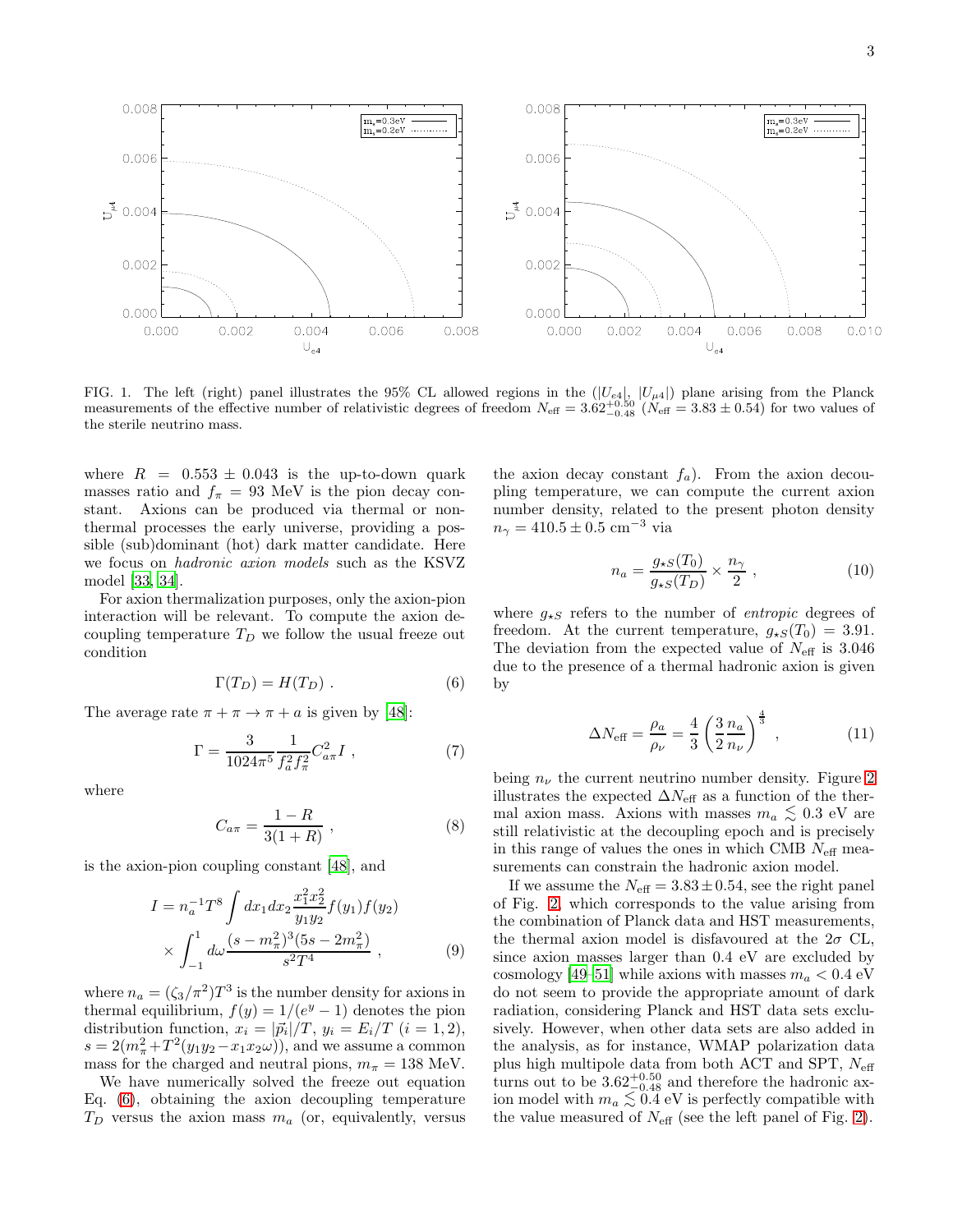

<span id="page-2-0"></span>FIG. 1. The left (right) panel illustrates the 95% CL allowed regions in the  $(|U_{e4}|, |U_{\mu 4}|)$  plane arising from the Planck measurements of the effective number of relativistic degrees of freedom  $N_{\text{eff}} = 3.62^{+0.50}_{-0.48}$  ( $N_{\text{eff}} = 3.83 \pm 0.54$ ) for two values of the sterile neutrino mass.

where  $R = 0.553 \pm 0.043$  is the up-to-down quark masses ratio and  $f_{\pi} = 93$  MeV is the pion decay constant. Axions can be produced via thermal or nonthermal processes the early universe, providing a possible (sub)dominant (hot) dark matter candidate. Here we focus on hadronic axion models such as the KSVZ model [\[33](#page-5-5), [34\]](#page-5-6).

For axion thermalization purposes, only the axion-pion interaction will be relevant. To compute the axion decoupling temperature  $T_D$  we follow the usual freeze out condition

<span id="page-2-1"></span>
$$
\Gamma(T_D) = H(T_D) . \tag{6}
$$

The average rate  $\pi + \pi \rightarrow \pi + a$  is given by [\[48\]](#page-5-17):

$$
\Gamma = \frac{3}{1024\pi^5} \frac{1}{f_a^2 f_\pi^2} C_{a\pi}^2 I \;, \tag{7}
$$

where

$$
C_{a\pi} = \frac{1 - R}{3(1 + R)},
$$
\n(8)

is the axion-pion coupling constant [\[48\]](#page-5-17), and

$$
I = n_a^{-1} T^8 \int dx_1 dx_2 \frac{x_1^2 x_2^2}{y_1 y_2} f(y_1) f(y_2)
$$
  
 
$$
\times \int_{-1}^1 d\omega \frac{(s - m_\pi^2)^3 (5s - 2m_\pi^2)}{s^2 T^4}, \qquad (9)
$$

where  $n_a = (\zeta_3/\pi^2)T^3$  is the number density for axions in thermal equilibrium,  $f(y) = 1/(e^y - 1)$  denotes the pion distribution function,  $x_i = |\vec{p}_i|/T$ ,  $y_i = E_i/T$   $(i = 1, 2)$ ,  $s = 2(m_{\pi}^2 + T^2(y_1y_2 - x_1x_2\omega))$ , and we assume a common mass for the charged and neutral pions,  $m_{\pi} = 138$  MeV.

We have numerically solved the freeze out equation Eq. [\(6\)](#page-2-1), obtaining the axion decoupling temperature  $T_D$  versus the axion mass  $m_a$  (or, equivalently, versus

the axion decay constant  $f_a$ ). From the axion decoupling temperature, we can compute the current axion number density, related to the present photon density  $n_{\gamma} = 410.5 \pm 0.5$  cm<sup>-3</sup> via

$$
n_a = \frac{g_{\star S}(T_0)}{g_{\star S}(T_D)} \times \frac{n_\gamma}{2} , \qquad (10)
$$

where  $g_{\star S}$  refers to the number of *entropic* degrees of freedom. At the current temperature,  $g_{\star S}(T_0) = 3.91$ . The deviation from the expected value of  $N_{\text{eff}}$  is 3.046 due to the presence of a thermal hadronic axion is given by

$$
\Delta N_{\text{eff}} = \frac{\rho_a}{\rho_\nu} = \frac{4}{3} \left( \frac{3}{2} \frac{n_a}{n_\nu} \right)^{\frac{4}{3}},\tag{11}
$$

being  $n_{\nu}$  the current neutrino number density. Figure [2](#page-3-1) illustrates the expected  $\Delta N_{\text{eff}}$  as a function of the thermal axion mass. Axions with masses  $m_a \lesssim 0.3$  eV are<br>still relativistic at the decoupling encode and is proceedured. still relativistic at the decoupling epoch and is precisely in this range of values the ones in which CMB  $N_{\text{eff}}$  measurements can constrain the hadronic axion model.

If we assume the  $N_{\text{eff}} = 3.83 \pm 0.54$ , see the right panel of Fig. [2,](#page-3-1) which corresponds to the value arising from the combination of Planck data and HST measurements, the thermal axion model is disfavoured at the  $2\sigma$  CL, since axion masses larger than 0.4 eV are excluded by cosmology [\[49](#page-5-18)[–51](#page-5-19)] while axions with masses  $m_a < 0.4$  eV do not seem to provide the appropriate amount of dark radiation, considering Planck and HST data sets exclusively. However, when other data sets are also added in the analysis, as for instance, WMAP polarization data plus high multipole data from both ACT and SPT,  $N_{\text{eff}}$ turns out to be  $3.62^{+0.50}_{-0.48}$  and therefore the hadronic axion model with  $m_a \lesssim 0.4$  eV is perfectly compatible with<br>the value measured of  $N_c$  (see the left panel of Fig. 2) the value measured of  $N_{\text{eff}}$  (see the left panel of Fig. [2\)](#page-3-1).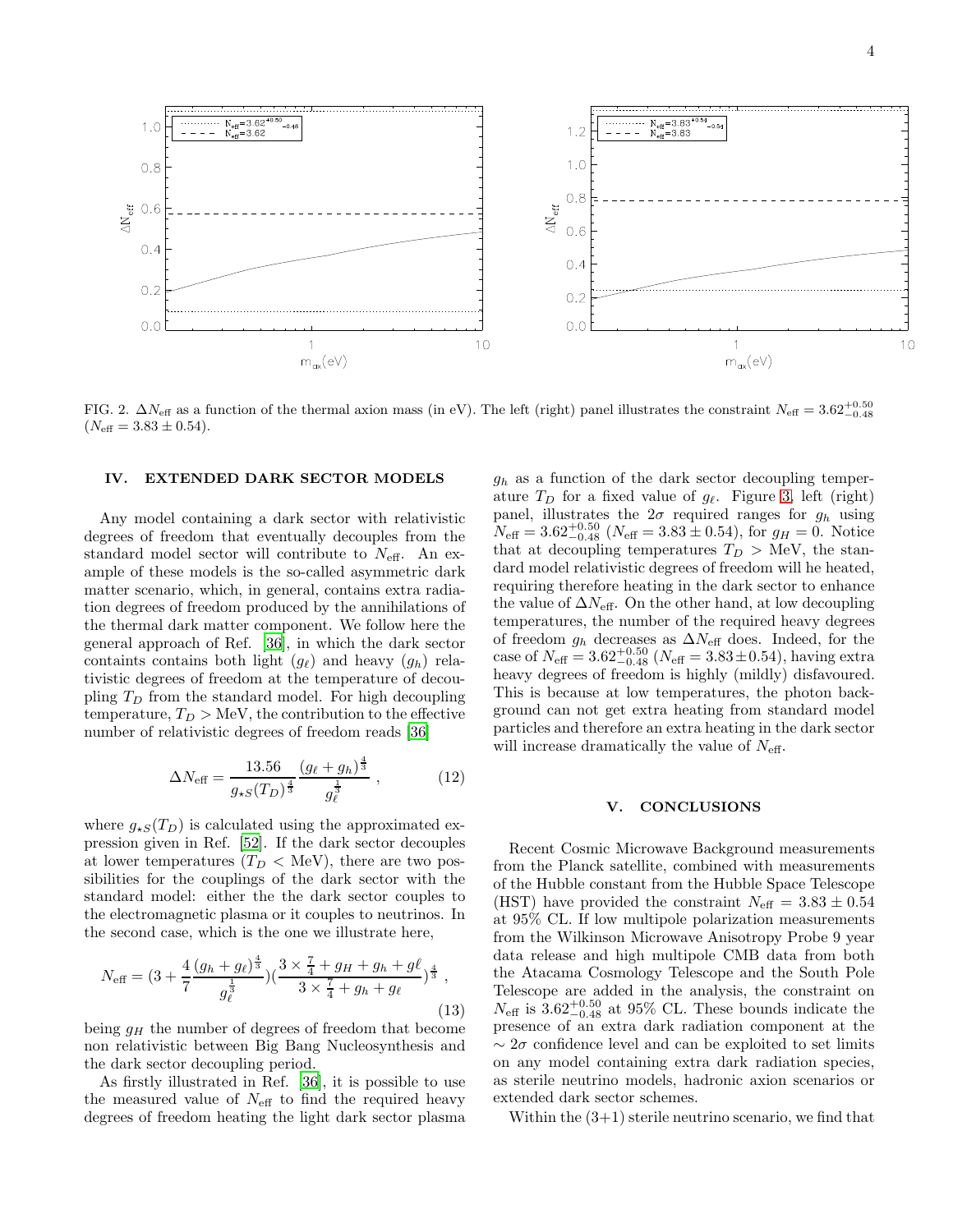

<span id="page-3-1"></span>FIG. 2.  $\Delta N_{\text{eff}}$  as a function of the thermal axion mass (in eV). The left (right) panel illustrates the constraint  $N_{\text{eff}} = 3.62^{+0.50}_{-0.48}$  $(N_{\text{eff}} = 3.83 \pm 0.54).$ 

#### IV. EXTENDED DARK SECTOR MODELS

Any model containing a dark sector with relativistic degrees of freedom that eventually decouples from the standard model sector will contribute to  $N_{\text{eff}}$ . An example of these models is the so-called asymmetric dark matter scenario, which, in general, contains extra radiation degrees of freedom produced by the annihilations of the thermal dark matter component. We follow here the general approach of Ref. [\[36](#page-5-8)], in which the dark sector containts contains both light  $(g_{\ell})$  and heavy  $(g_h)$  relativistic degrees of freedom at the temperature of decoupling  $T_D$  from the standard model. For high decoupling temperature,  $T_D > \text{MeV}$ , the contribution to the effective number of relativistic degrees of freedom reads [\[36\]](#page-5-8)

$$
\Delta N_{\text{eff}} = \frac{13.56}{g_{\star S}(T_D)^{\frac{4}{3}}} \frac{(g_{\ell} + g_h)^{\frac{4}{3}}}{g_{\ell}^{\frac{1}{3}}},\tag{12}
$$

where  $g_{\star S}(T_D)$  is calculated using the approximated expression given in Ref. [\[52\]](#page-5-20). If the dark sector decouples at lower temperatures  $(T_D < \text{MeV})$ , there are two possibilities for the couplings of the dark sector with the standard model: either the the dark sector couples to the electromagnetic plasma or it couples to neutrinos. In the second case, which is the one we illustrate here,

$$
N_{\text{eff}} = (3 + \frac{4}{7} \frac{(g_h + g_\ell)^{\frac{4}{3}}}{g_\ell^{\frac{1}{3}}})(\frac{3 \times \frac{7}{4} + g_H + g_h + g_\ell}{3 \times \frac{7}{4} + g_h + g_\ell})^{\frac{4}{3}},
$$
\n(13)

being  $g_H$  the number of degrees of freedom that become non relativistic between Big Bang Nucleosynthesis and the dark sector decoupling period.

As firstly illustrated in Ref. [\[36](#page-5-8)], it is possible to use the measured value of  $N_{\text{eff}}$  to find the required heavy degrees of freedom heating the light dark sector plasma

 $g_h$  as a function of the dark sector decoupling temperature  $T_D$  for a fixed value of  $g_\ell$ . Figure [3,](#page-4-9) left (right) panel, illustrates the  $2\sigma$  required ranges for  $g_h$  using  $N_{\text{eff}} = 3.62_{-0.48}^{+0.50}$  ( $N_{\text{eff}} = 3.83 \pm 0.54$ ), for  $g_H = 0$ . Notice that at decoupling temperatures  $T_D > \text{MeV}$ , the standard model relativistic degrees of freedom will he heated, requiring therefore heating in the dark sector to enhance the value of  $\Delta N_{\text{eff}}$ . On the other hand, at low decoupling temperatures, the number of the required heavy degrees of freedom  $g_h$  decreases as  $\Delta N_{\text{eff}}$  does. Indeed, for the case of  $N_{\text{eff}} = 3.62_{-0.48}^{+0.50}$  ( $N_{\text{eff}} = 3.83 \pm 0.54$ ), having extra heavy degrees of freedom is highly (mildly) disfavoured. This is because at low temperatures, the photon background can not get extra heating from standard model particles and therefore an extra heating in the dark sector will increase dramatically the value of  $N_{\text{eff}}$ .

### <span id="page-3-0"></span>V. CONCLUSIONS

Recent Cosmic Microwave Background measurements from the Planck satellite, combined with measurements of the Hubble constant from the Hubble Space Telescope (HST) have provided the constraint  $N_{\text{eff}} = 3.83 \pm 0.54$ at 95% CL. If low multipole polarization measurements from the Wilkinson Microwave Anisotropy Probe 9 year data release and high multipole CMB data from both the Atacama Cosmology Telescope and the South Pole Telescope are added in the analysis, the constraint on  $N_{\text{eff}}$  is  $3.62_{-0.48}^{+0.50}$  at 95% CL. These bounds indicate the presence of an extra dark radiation component at the  $\sim 2\sigma$  confidence level and can be exploited to set limits on any model containing extra dark radiation species, as sterile neutrino models, hadronic axion scenarios or extended dark sector schemes.

Within the  $(3+1)$  sterile neutrino scenario, we find that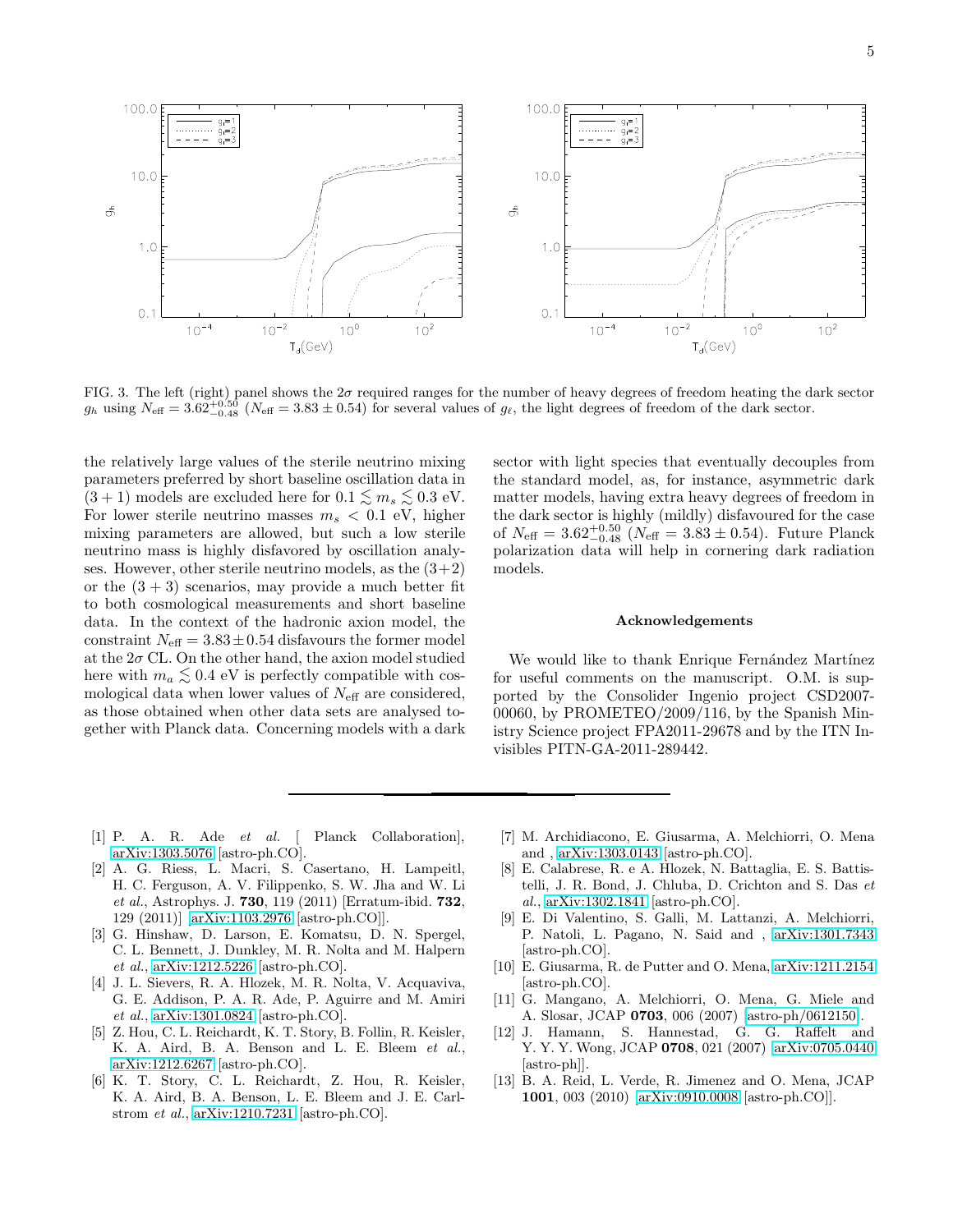

<span id="page-4-9"></span>FIG. 3. The left (right) panel shows the  $2\sigma$  required ranges for the number of heavy degrees of freedom heating the dark sector  $g_h$  using  $N_{\text{eff}} = 3.62_{-0.48}^{+0.50}$  ( $N_{\text{eff}} = 3.83 \pm 0.54$ ) for several values of  $g_{\ell}$ , the light degrees of freedom of the dark sector.

the relatively large values of the sterile neutrino mixing parameters preferred by short baseline oscillation data in  $(3 + 1)$  models are excluded here for  $0.1 \lesssim m_s \lesssim 0.3$  eV. For lower sterile neutrino masses  $m_s < 0.1$  eV, higher mixing parameters are allowed, but such a low sterile neutrino mass is highly disfavored by oscillation analyses. However, other sterile neutrino models, as the  $(3+2)$ or the  $(3 + 3)$  scenarios, may provide a much better fit to both cosmological measurements and short baseline data. In the context of the hadronic axion model, the constraint  $N_{\text{eff}} = 3.83 \pm 0.54$  disfavours the former model at the  $2\sigma$  CL. On the other hand, the axion model studied here with  $m_a \lesssim 0.4$  eV is perfectly compatible with cos-<br>molecies data when lower values of  $N_c$  are considered mological data when lower values of  $N_{\text{eff}}$  are considered, as those obtained when other data sets are analysed together with Planck data. Concerning models with a dark

sector with light species that eventually decouples from the standard model, as, for instance, asymmetric dark matter models, having extra heavy degrees of freedom in the dark sector is highly (mildly) disfavoured for the case of  $N_{\text{eff}} = 3.62_{-0.48}^{+0.50}$  ( $N_{\text{eff}} = 3.83 \pm 0.54$ ). Future Planck polarization data will help in cornering dark radiation models.

## Acknowledgements

We would like to thank Enrique Fernández Martínez for useful comments on the manuscript. O.M. is supported by the Consolider Ingenio project CSD2007- 00060, by PROMETEO/2009/116, by the Spanish Ministry Science project FPA2011-29678 and by the ITN Invisibles PITN-GA-2011-289442.

- <span id="page-4-0"></span>[1] P. A. R. Ade et al. [ Planck Collaboration], [arXiv:1303.5076](http://arxiv.org/abs/1303.5076) [astro-ph.CO].
- <span id="page-4-1"></span>[2] A. G. Riess, L. Macri, S. Casertano, H. Lampeitl, H. C. Ferguson, A. V. Filippenko, S. W. Jha and W. Li et al., Astrophys. J. 730, 119 (2011) [Erratum-ibid. 732, 129 (2011)] [\[arXiv:1103.2976](http://arxiv.org/abs/1103.2976) [astro-ph.CO]].
- <span id="page-4-2"></span>[3] G. Hinshaw, D. Larson, E. Komatsu, D. N. Spergel, C. L. Bennett, J. Dunkley, M. R. Nolta and M. Halpern et al., [arXiv:1212.5226](http://arxiv.org/abs/1212.5226) [astro-ph.CO].
- <span id="page-4-3"></span>[4] J. L. Sievers, R. A. Hlozek, M. R. Nolta, V. Acquaviva, G. E. Addison, P. A. R. Ade, P. Aguirre and M. Amiri et al., [arXiv:1301.0824](http://arxiv.org/abs/1301.0824) [astro-ph.CO].
- <span id="page-4-4"></span>[5] Z. Hou, C. L. Reichardt, K. T. Story, B. Follin, R. Keisler, K. A. Aird, B. A. Benson and L. E. Bleem et al., [arXiv:1212.6267](http://arxiv.org/abs/1212.6267) [astro-ph.CO].
- <span id="page-4-5"></span>[6] K. T. Story, C. L. Reichardt, Z. Hou, R. Keisler, K. A. Aird, B. A. Benson, L. E. Bleem and J. E. Carlstrom et al., [arXiv:1210.7231](http://arxiv.org/abs/1210.7231) [astro-ph.CO].
- <span id="page-4-6"></span>[7] M. Archidiacono, E. Giusarma, A. Melchiorri, O. Mena and , [arXiv:1303.0143](http://arxiv.org/abs/1303.0143) [astro-ph.CO].
- [8] E. Calabrese, R. e A. Hlozek, N. Battaglia, E. S. Battistelli, J. R. Bond, J. Chluba, D. Crichton and S. Das et al., [arXiv:1302.1841](http://arxiv.org/abs/1302.1841) [astro-ph.CO].
- <span id="page-4-7"></span>[9] E. Di Valentino, S. Galli, M. Lattanzi, A. Melchiorri, P. Natoli, L. Pagano, N. Said and , [arXiv:1301.7343](http://arxiv.org/abs/1301.7343) [astro-ph.CO].
- <span id="page-4-8"></span>[10] E. Giusarma, R. de Putter and O. Mena, [arXiv:1211.2154](http://arxiv.org/abs/1211.2154) [astro-ph.CO].
- [11] G. Mangano, A. Melchiorri, O. Mena, G. Miele and A. Slosar, JCAP 0703, 006 (2007) [\[astro-ph/0612150\]](http://arxiv.org/abs/astro-ph/0612150).
- [12] J. Hamann, S. Hannestad, G. G. Raffelt and Y. Y. Y. Wong, JCAP 0708, 021 (2007) [\[arXiv:0705.0440](http://arxiv.org/abs/0705.0440) [astro-ph]].
- [13] B. A. Reid, L. Verde, R. Jimenez and O. Mena, JCAP 1001, 003 (2010) [\[arXiv:0910.0008](http://arxiv.org/abs/0910.0008) [astro-ph.CO]].